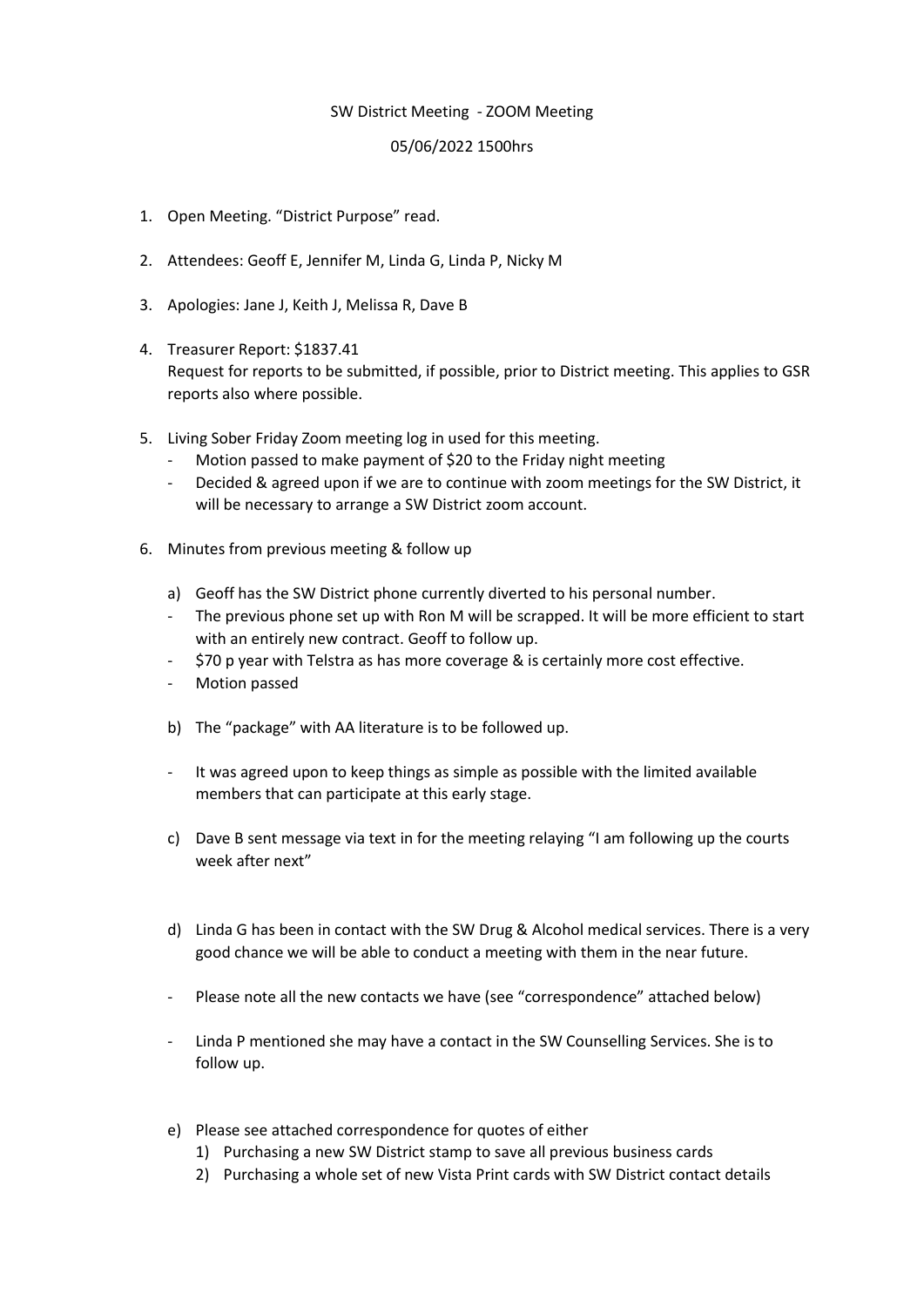## SW District Meeting - ZOOM Meeting

## 05/06/2022 1500hrs

- 1. Open Meeting. "District Purpose" read.
- 2. Attendees: Geoff E, Jennifer M, Linda G, Linda P, Nicky M
- 3. Apologies: Jane J, Keith J, Melissa R, Dave B
- 4. Treasurer Report: \$1837.41 Request for reports to be submitted, if possible, prior to District meeting. This applies to GSR reports also where possible.
- 5. Living Sober Friday Zoom meeting log in used for this meeting.
	- Motion passed to make payment of \$20 to the Friday night meeting
	- Decided & agreed upon if we are to continue with zoom meetings for the SW District, it will be necessary to arrange a SW District zoom account.
- 6. Minutes from previous meeting & follow up
	- a) Geoff has the SW District phone currently diverted to his personal number.
	- The previous phone set up with Ron M will be scrapped. It will be more efficient to start with an entirely new contract. Geoff to follow up.
	- \$70 p year with Telstra as has more coverage & is certainly more cost effective.
	- Motion passed
	- b) The "package" with AA literature is to be followed up.
	- It was agreed upon to keep things as simple as possible with the limited available members that can participate at this early stage.
	- c) Dave B sent message via text in for the meeting relaying "I am following up the courts week after next"
	- d) Linda G has been in contact with the SW Drug & Alcohol medical services. There is a very good chance we will be able to conduct a meeting with them in the near future.
	- Please note all the new contacts we have (see "correspondence" attached below)
	- Linda P mentioned she may have a contact in the SW Counselling Services. She is to follow up.
	- e) Please see attached correspondence for quotes of either
		- 1) Purchasing a new SW District stamp to save all previous business cards
		- 2) Purchasing a whole set of new Vista Print cards with SW District contact details